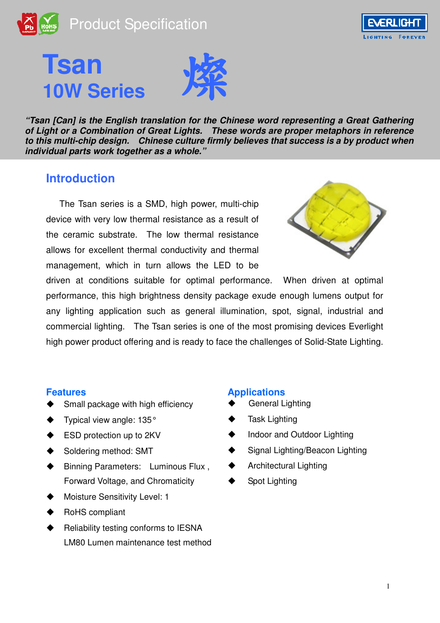







**"Tsan [Can] is the English translation for the Chinese word representing a Great Gathering of Light or a Combination of Great Lights. These words are proper metaphors in reference to this multi-chip design. Chinese culture firmly believes that success is a by product when individual parts work together as a whole."** 

### **Introduction**

The Tsan series is a SMD, high power, multi-chip device with very low thermal resistance as a result of the ceramic substrate. The low thermal resistance allows for excellent thermal conductivity and thermal management, which in turn allows the LED to be



driven at conditions suitable for optimal performance. When driven at optimal performance, this high brightness density package exude enough lumens output for any lighting application such as general illumination, spot, signal, industrial and commercial lighting. The Tsan series is one of the most promising devices Everlight high power product offering and is ready to face the challenges of Solid-State Lighting.

- Small package with high efficiency
- Typical view angle: 135°
- ESD protection up to 2KV
- Soldering method: SMT
- Binning Parameters: Luminous Flux , Forward Voltage, and Chromaticity
- Moisture Sensitivity Level: 1
- RoHS compliant
- Reliability testing conforms to IESNA LM80 Lumen maintenance test method

#### **Features Applications**

- General Lighting
- Task Lighting
- Indoor and Outdoor Lighting
- Signal Lighting/Beacon Lighting
- Architectural Lighting
- Spot Lighting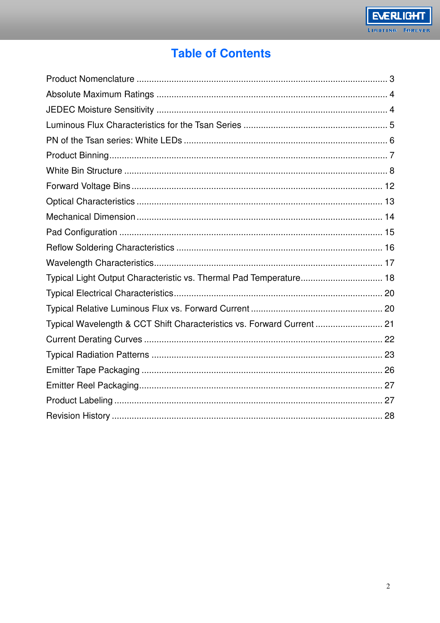# **Table of Contents**

| Typical Light Output Characteristic vs. Thermal Pad Temperature 18     |  |
|------------------------------------------------------------------------|--|
|                                                                        |  |
|                                                                        |  |
| Typical Wavelength & CCT Shift Characteristics vs. Forward Current  21 |  |
|                                                                        |  |
|                                                                        |  |
|                                                                        |  |
|                                                                        |  |
|                                                                        |  |
|                                                                        |  |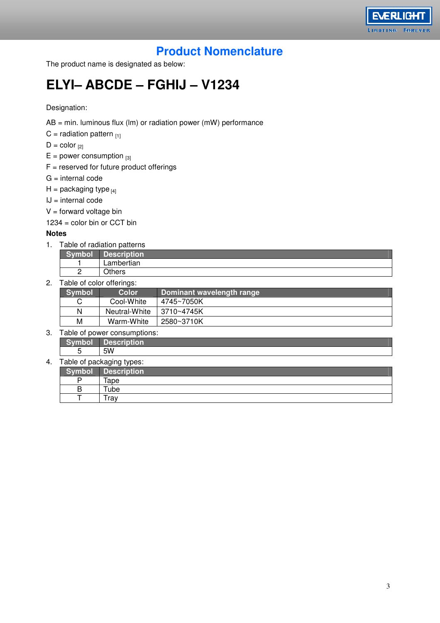

# **Product Nomenclature**

The product name is designated as below:

# **ELYI– ABCDE – FGHIJ – V1234**

Designation:

- AB = min. luminous flux (lm) or radiation power (mW) performance
- $C =$  radiation pattern  $_{111}$

 $D = color_{[2]}$ 

- $E = power consumption$  [3]
- $F =$  reserved for future product offerings
- $G =$  internal code
- $H =$  packaging type  $H_{[4]}$
- $IJ = internal code$
- $V =$  forward voltage bin

 $1234 =$  color bin or CCT bin

#### **Notes**

1. Table of radiation patterns

|   | scription  |
|---|------------|
|   | Lambertian |
| - | Hence      |

2. Table of color offerings:

| Symbol | Color         | Dominant wavelength range |
|--------|---------------|---------------------------|
|        | Cool-White    | 4745~7050K                |
| N      | Neutral-White | 3710~4745K                |
| M      | Warm-White    | 2580~3710K                |

#### 3. Table of power consumptions:

**Symbol Description**  5 5W

#### 4. Table of packaging types:

| mbo    | <b>Description</b> |
|--------|--------------------|
| D      | Tape               |
| ם<br>D | ube                |
|        | <i>i</i> rav       |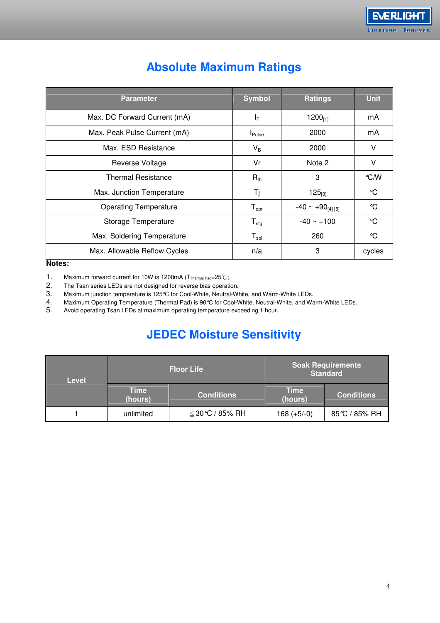| <b>Parameter</b>             | <b>Symbol</b>                | <b>Ratings</b>          | <b>Unit</b> |
|------------------------------|------------------------------|-------------------------|-------------|
| Max. DC Forward Current (mA) | ΙF                           | 1200 $_{[1]}$           | mA          |
| Max. Peak Pulse Current (mA) | <b>I</b> Pulse               | 2000                    | mA          |
| Max. ESD Resistance          | $V_B$                        | 2000                    | ν           |
| Reverse Voltage              | Vr                           | Note 2                  | ٧           |
| <b>Thermal Resistance</b>    | $R_{th}$                     | 3                       | °C/W        |
| Max. Junction Temperature    | Τj                           | $125_{[3]}$             | °C          |
| <b>Operating Temperature</b> | ${\mathsf T}_{\mathsf{opr}}$ | $-40 \sim +90_{[4][5]}$ | °C          |
| Storage Temperature          | ${\mathsf T}_{\text{stg}}$   | $-40 \sim +100$         | °C          |
| Max. Soldering Temperature   | $T_{sol}$                    | 260                     | °C          |
| Max. Allowable Reflow Cycles | n/a                          | 3                       | cycles      |

# **Absolute Maximum Ratings**

#### **Notes:**

- 
- 1. Maximum forward current for 10W is 1200mA ( $T_{Thermal Pad} = 25^\circ\text{C}$ ).<br>2. The Tsan series LEDs are not designed for reverse bias operation
- 2. The Tsan series LEDs are not designed for reverse bias operation.<br>3. Maximum junction temperature is 125℃ for Cool-White, Neutral-WI
- 3. Maximum junction temperature is 125℃ for Cool-White, Neutral-White, and Warm-White LEDs.<br>4. Maximum Operating Temperature (Thermal Pad) is 90℃ for Cool-White, Neutral-White, and Wa 4. Maximum Operating Temperature (Thermal Pad) is 90 °C for Cool-White, Neutral-White, and Warm-White LEDs.<br>5. Avoid operating Tsan LEDs at maximum operating temperature exceeding 1 hour.
- Avoid operating Tsan LEDs at maximum operating temperature exceeding 1 hour.

# **JEDEC Moisture Sensitivity**

| <b>Level</b> |                        | <b>Floor Life</b> | <b>Soak Requirements</b><br><b>Standard</b> |                   |  |
|--------------|------------------------|-------------------|---------------------------------------------|-------------------|--|
|              | <b>Time</b><br>(hours) | <b>Conditions</b> | <b>Time</b><br>(hours)                      | <b>Conditions</b> |  |
|              | unlimited              | ≦30℃ / 85% RH     | $168 (+5/-0)$                               | 85℃ / 85% RH      |  |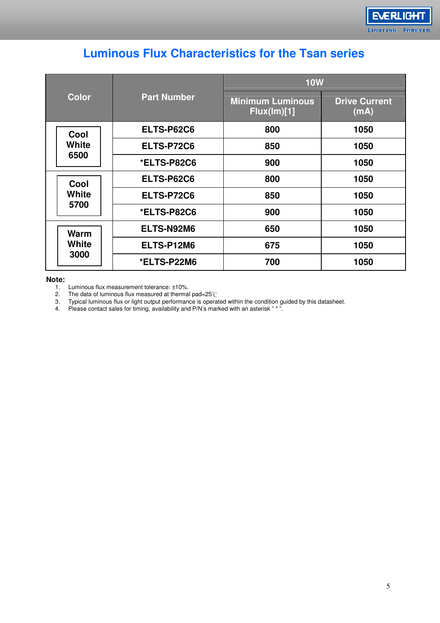| <b>Luminous Flux Characteristics for the Tsan series</b> |  |  |  |  |  |
|----------------------------------------------------------|--|--|--|--|--|
|----------------------------------------------------------|--|--|--|--|--|

|              |                    | <b>10W</b>                             |                              |  |  |
|--------------|--------------------|----------------------------------------|------------------------------|--|--|
| <b>Color</b> | <b>Part Number</b> | <b>Minimum Luminous</b><br>Flux(lm)[1] | <b>Drive Current</b><br>(mA) |  |  |
| Cool         | ELTS-P62C6         | 800                                    | 1050                         |  |  |
| <b>White</b> | ELTS-P72C6         | 850                                    | 1050                         |  |  |
| 6500         | *ELTS-P82C6        | 900                                    | 1050                         |  |  |
| Cool         | <b>ELTS-P62C6</b>  | 800                                    | 1050                         |  |  |
| White        | ELTS-P72C6         | 850                                    | 1050                         |  |  |
| 5700         | *ELTS-P82C6        | 900                                    | 1050                         |  |  |
| <b>Warm</b>  | ELTS-N92M6         | 650                                    | 1050                         |  |  |
| White        | ELTS-P12M6         | 675                                    | 1050                         |  |  |
| 3000         | *ELTS-P22M6        | 700                                    | 1050                         |  |  |

**Note:** 

1. Luminous flux measurement tolerance: ±10%. 2. The data of luminous flux measured at thermal pad=25℃

3. Typical luminous flux or light output performance is operated within the condition guided by this datasheet.

4. Please contact sales for timing, availability and P/N's marked with an asterisk " \* ".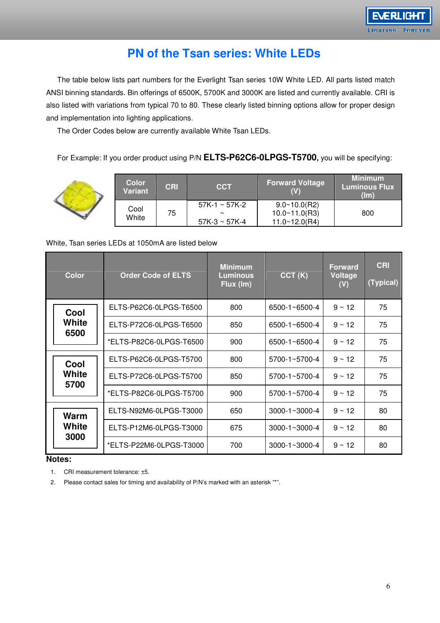

### **PN of the Tsan series: White LEDs**

The table below lists part numbers for the Everlight Tsan series 10W White LED. All parts listed match ANSI binning standards. Bin offerings of 6500K, 5700K and 3000K are listed and currently available. CRI is also listed with variations from typical 70 to 80. These clearly listed binning options allow for proper design and implementation into lighting applications.

The Order Codes below are currently available White Tsan LEDs.

For Example: If you order product using P/N **ELTS-P62C6-0LPGS-T5700,** you will be specifying:

|  | <b>Color</b><br>Variant | <b>CRI</b> | <b>CCT</b>                                         | <b>Forward Voltage</b>                                   | <b>Minimum</b><br><b>Luminous Flux</b><br>(lm) |
|--|-------------------------|------------|----------------------------------------------------|----------------------------------------------------------|------------------------------------------------|
|  | Cool<br>White           | 75         | $57K-1 \sim 57K-2$<br>$\sim$<br>$57K-3 \sim 57K-4$ | $9.0 \times 10.0$ (R2)<br>10.0~11.0(R3)<br>11.0~12.0(R4) | 800                                            |

#### White, Tsan series LEDs at 1050mA are listed below

|  | <b>Color</b>  | <b>Order Code of ELTS</b> | <b>Minimum</b><br><b>Luminous</b><br>Flux (Im) | CCT(K)                   | <b>Forward</b><br><b>Voltage</b><br>(V) | <b>CRI</b><br>(Typical) |
|--|---------------|---------------------------|------------------------------------------------|--------------------------|-----------------------------------------|-------------------------|
|  | Cool          | ELTS-P62C6-0LPGS-T6500    | 800                                            | $6500 - 1 - 6500 - 4$    | $9 \sim 12$                             | 75                      |
|  | White<br>6500 | ELTS-P72C6-0LPGS-T6500    | 850                                            | $6500 - 1 - 6500 - 4$    | $9 \sim 12$                             | 75                      |
|  |               | *ELTS-P82C6-0LPGS-T6500   | 900                                            | $6500 - 1 - 6500 - 4$    | $9 \sim 12$                             | 75                      |
|  | Cool          | ELTS-P62C6-0LPGS-T5700    | 800                                            | $5700 - 1 \sim 5700 - 4$ | $9 \sim 12$                             | 75                      |
|  | White<br>5700 | ELTS-P72C6-0LPGS-T5700    | 850                                            | $5700 - 1 - 5700 - 4$    | $9 \sim 12$                             | 75                      |
|  |               | *ELTS-P82C6-0LPGS-T5700   | 900                                            | $5700 - 1 \sim 5700 - 4$ | $9 \sim 12$                             | 75                      |
|  | <b>Warm</b>   | ELTS-N92M6-0LPGS-T3000    | 650                                            | $3000 - 1 \sim 3000 - 4$ | $9 \sim 12$                             | 80                      |
|  | White         | ELTS-P12M6-0LPGS-T3000    | 675                                            | $3000 - 1 \sim 3000 - 4$ | $9 \sim 12$                             | 80                      |
|  | 3000          | *ELTS-P22M6-0LPGS-T3000   | 700                                            | $3000 - 1 \sim 3000 - 4$ | $9 \sim 12$                             | 80                      |

#### **Notes:**

1. CRI measurement tolerance: ±5.

2. Please contact sales for timing and availability of P/N's marked with an asterisk "\*".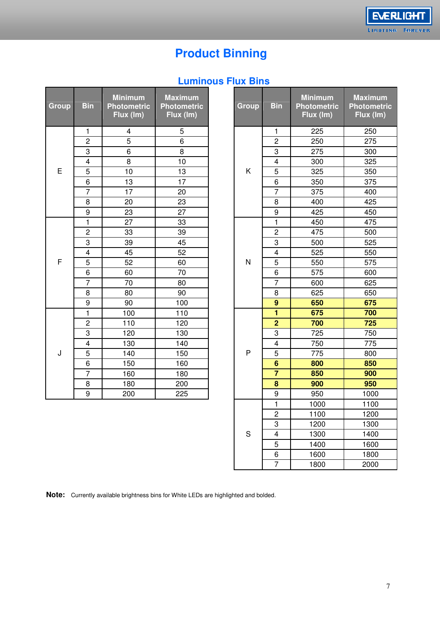**EVERLIGHT** 

FOREVER

# **Product Binning**

### **Luminous Flux Bins**

| Group | <b>Bin</b>              | <b>Minimum</b><br><b>Photometric</b><br>Flux (Im) | <b>Maximum</b><br><b>Photometric</b><br>Flux (Im) |
|-------|-------------------------|---------------------------------------------------|---------------------------------------------------|
|       | 1                       | 4                                                 | 5                                                 |
|       | $\overline{2}$          | 5                                                 | 6                                                 |
|       | 3                       | 6                                                 | 8                                                 |
|       | $\overline{4}$          | 8                                                 | 10                                                |
| E     | 5                       | 10                                                | 13                                                |
|       | 6                       | 13                                                | 17                                                |
|       | 7                       | 17                                                | 20                                                |
|       | 8                       | 20                                                | 23                                                |
|       | 9                       | 23                                                | 27                                                |
|       | $\overline{\mathbf{1}}$ | 27                                                | 33                                                |
|       | $\overline{c}$          | 33                                                | 39                                                |
|       | 3                       | 39                                                | 45                                                |
|       | 4                       | 45                                                | 52                                                |
| F     | 5                       | 52                                                | 60                                                |
|       | 6                       | 60                                                | 70                                                |
|       | $\overline{7}$          | 70                                                | 80                                                |
|       | 8                       | 80                                                | 90                                                |
|       | 9                       | 90                                                | 100                                               |
|       | $\overline{\mathbf{1}}$ | 100                                               | 110                                               |
|       | $\overline{\mathbf{c}}$ | 110                                               | 120                                               |
|       | 3                       | 120                                               | 130                                               |
|       | $\overline{\mathbf{4}}$ | 130                                               | 140                                               |
| J     | 5                       | 140                                               | 150                                               |
|       | 6                       | 150                                               | 160                                               |
|       | $\overline{7}$          | 160                                               | 180                                               |
|       | 8                       | 180                                               | 200                                               |
|       | 9                       | 200                                               | 225                                               |

| <b>Group</b> | <b>Bin</b>              | <b>Minimum</b><br><b>Photometric</b><br>Flux (Im) | <b>Maximum</b><br><b>Photometric</b><br>Flux (Im) |  | <b>Group</b> | <b>Bin</b>              | <b>Minimum</b><br><b>Photometric</b><br>Flux (Im) | <b>Maximum</b><br><b>Photometric</b><br>Flux (Im) |
|--------------|-------------------------|---------------------------------------------------|---------------------------------------------------|--|--------------|-------------------------|---------------------------------------------------|---------------------------------------------------|
|              | $\mathbf{1}$            | 4                                                 | 5                                                 |  |              | 1                       | 225                                               | 250                                               |
|              | $\overline{2}$          | 5                                                 | 6                                                 |  |              | $\overline{c}$          | 250                                               | 275                                               |
|              | 3                       | 6                                                 | 8                                                 |  |              | 3                       | 275                                               | 300                                               |
|              | $\overline{\mathbf{4}}$ | 8                                                 | 10                                                |  |              | $\overline{\mathbf{4}}$ | 300                                               | 325                                               |
| E            | 5                       | 10                                                | 13                                                |  | K            | 5                       | 325                                               | 350                                               |
|              | 6                       | 13                                                | 17                                                |  | 6            | 350                     | 375                                               |                                                   |
|              | $\overline{7}$          | 17                                                | 20                                                |  |              | $\overline{7}$          | 375                                               | 400                                               |
|              | 8                       | 20                                                | 23                                                |  |              | 8                       | 400                                               | 425                                               |
|              | 9                       | 23                                                | 27                                                |  |              | 9                       | 425                                               | 450                                               |
|              | $\mathbf{1}$            | 27                                                | 33                                                |  |              | $\mathbf{1}$            | 450                                               | 475                                               |
|              | $\overline{c}$          | 33                                                | 39                                                |  |              | $\overline{c}$          | 475                                               | 500                                               |
|              | $\overline{3}$          | 39                                                | 45                                                |  |              | 3                       | 500                                               | 525                                               |
|              | $\overline{\mathbf{4}}$ | 45                                                | 52                                                |  |              | $\overline{\mathbf{4}}$ | 525                                               | 550                                               |
| F            | 5                       | 52                                                | 60                                                |  | N            | $\overline{5}$          | 550                                               | 575                                               |
|              | 6                       | 60                                                | 70                                                |  |              | 6                       | 575                                               | 600                                               |
|              | $\overline{7}$          | 70                                                | 80                                                |  |              | $\overline{7}$          | 600                                               | 625                                               |
|              | 8                       | 80                                                | 90                                                |  | 8            | 625                     | 650                                               |                                                   |
|              | 9                       | 90                                                | 100                                               |  |              | $\overline{9}$          | 650                                               | 675                                               |
|              | $\mathbf{1}$            | 100                                               | 110                                               |  |              | $\overline{\mathbf{1}}$ | 675                                               | 700                                               |
|              | $\overline{c}$          | 110                                               | 120                                               |  |              | $\overline{2}$          | 700                                               | 725                                               |
|              | 3                       | 120                                               | 130                                               |  |              | 3                       | 725                                               | 750                                               |
|              | $\overline{\mathbf{4}}$ | 130                                               | 140                                               |  |              | $\overline{\mathbf{4}}$ | 750                                               | 775                                               |
| J            | 5                       | 140                                               | 150                                               |  | P            | 5                       | 775                                               | 800                                               |
|              | 6                       | 150                                               | 160                                               |  |              | $6\phantom{1}$          | 800                                               | 850                                               |
|              | $\overline{7}$          | 160                                               | 180                                               |  |              | $\overline{7}$          | 850                                               | 900                                               |
|              | 8                       | 180                                               | 200                                               |  |              | 8                       | 900                                               | 950                                               |
|              | 9                       | 200                                               | 225                                               |  |              | 9                       | 950                                               | 1000                                              |
|              |                         |                                                   |                                                   |  |              | $\mathbf{1}$            | 1000                                              | 1100                                              |
|              |                         |                                                   |                                                   |  |              | $\overline{c}$          | 1100                                              | 1200                                              |
|              |                         |                                                   |                                                   |  |              | 3                       | 1200                                              | 1300                                              |
|              |                         |                                                   |                                                   |  | S            | $\overline{\mathbf{4}}$ | 1300                                              | 1400                                              |
|              |                         |                                                   |                                                   |  |              | 5                       | 1400                                              | 1600                                              |
|              |                         |                                                   |                                                   |  |              | 6                       | 1600                                              | 1800                                              |
|              |                         |                                                   |                                                   |  |              | $\overline{7}$          | 1800                                              | 2000                                              |

**Note:** Currently available brightness bins for White LEDs are highlighted and bolded.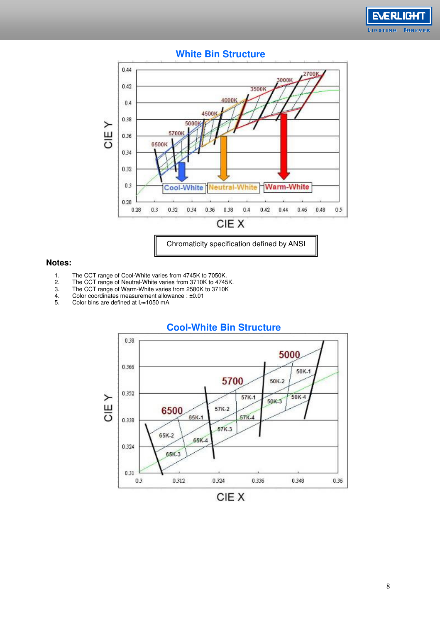



#### **White Bin Structure**

#### **Notes:**

- 
- 1. The CCT range of Cool-White varies from 4745K to 7050K.<br>2. The CCT range of Neutral-White varies from 3710K to 4745<br>3. The CCT range of Warm-White varies from 2580K to 3710K The CCT range of Neutral-White varies from 3710K to 4745K.
- 3. The CCT range of Warm-White varies from 2580K to 3710K
- 4. Color coordinates measurement allowance : ±0.01 4. Color coordinates measurement allow<br>5. Color bins are defined at  $I_{F=1}$ 050 mA
- 



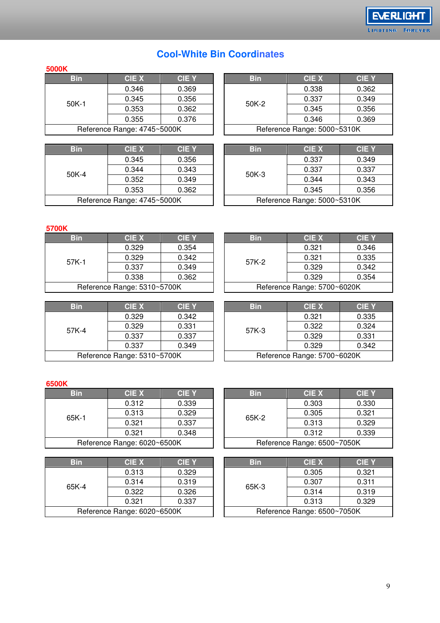#### **5000K**

| <b>Bin</b>                  | <b>CIEX</b> | <b>CIE Y</b> |  | <b>Bin</b>                  | <b>CIE X</b> | C  |  |
|-----------------------------|-------------|--------------|--|-----------------------------|--------------|----|--|
| $50K-1$                     | 0.346       | 0.369        |  |                             | 0.338        | 0. |  |
|                             | 0.345       | 0.356        |  | 50K-2                       | 0.337        | 0. |  |
|                             | 0.353       | 0.362        |  |                             | 0.345        | 0. |  |
|                             | 0.355       | 0.376        |  |                             | 0.346        | 0. |  |
| Reference Range: 4745~5000K |             |              |  | Reference Range: 5000~5310K |              |    |  |
|                             |             |              |  |                             |              |    |  |

| <b>Bin</b>                  | CIE X | <b>CIE Y</b> |  | <b>Bin</b> | <b>CIE X</b>                | C        |
|-----------------------------|-------|--------------|--|------------|-----------------------------|----------|
| $50K-4$                     | 0.345 | 0.356        |  |            | 0.337                       | 0.       |
|                             | 0.344 | 0.343        |  | $50K-3$    | 0.337                       | 0.       |
|                             | 0.352 | 0.349        |  |            | 0.344                       | 0.       |
|                             | 0.353 | 0.362        |  |            | 0.345                       | $\Omega$ |
| Reference Range: 4745~5000K |       |              |  |            | Reference Range: 5000~5310K |          |

| <b>Bin</b>                                                 | <b>CIE X</b> | <b>CIE Y</b> |         | <b>Bin</b> | <b>CIE X</b>                | <b>CIE Y</b> |
|------------------------------------------------------------|--------------|--------------|---------|------------|-----------------------------|--------------|
|                                                            | 0.346        | 0.369        |         |            | 0.338                       | 0.362        |
| 0.356<br>0.345<br>0K-1<br>0.353<br>0.362<br>0.355<br>0.376 |              |              | $50K-2$ | 0.337      | 0.349                       |              |
|                                                            |              |              |         |            | 0.345                       | 0.356        |
|                                                            |              |              |         |            | 0.346                       | 0.369        |
| Reference Range: 4745~5000K                                |              |              |         |            | Reference Range: 5000~5310K |              |
|                                                            |              |              |         |            |                             |              |

**EVERLIGHT** LIGHTING FOREVER

| <b>Bin</b>                  | <b>CIE X</b>   | <b>CIE Y</b> |  | <b>Bin</b> | <b>CIE X</b>                | <b>CIE Y</b> |
|-----------------------------|----------------|--------------|--|------------|-----------------------------|--------------|
|                             | 0.345          | 0.356        |  |            | 0.337                       | 0.349        |
| 0K-4                        | 0.344<br>0.343 |              |  | $50K-3$    | 0.337                       | 0.337        |
|                             | 0.352          | 0.349        |  |            | 0.344                       | 0.343        |
|                             | 0.353          | 0.362        |  |            | 0.345                       | 0.356        |
| Reference Range: 4745~5000K |                |              |  |            | Reference Range: 5000~5310K |              |

#### **5700K**

| <b>Bin</b>                  | <b>CIEX</b> | <b>CIEY</b> | <b>Bin</b> | <b>CIE X</b>                | C  |
|-----------------------------|-------------|-------------|------------|-----------------------------|----|
| $57K-1$                     | 0.329       | 0.354       |            | 0.321                       |    |
|                             | 0.329       | 0.342       | 57K-2      | 0.321                       | 0. |
|                             | 0.337       | 0.349       |            | 0.329                       |    |
|                             | 0.338       | 0.362       |            | 0.329                       |    |
| Reference Range: 5310~5700K |             |             |            | Reference Range: 5700~6020K |    |

| <b>Bin</b>                  | CIE X | <b>CIEY</b> |  | <b>Bin</b>                  | <b>CIE X</b> | <b>CIE Y</b> |
|-----------------------------|-------|-------------|--|-----------------------------|--------------|--------------|
| 57K-1                       | 0.329 | 0.354       |  |                             | 0.321        | 0.346        |
|                             | 0.329 | 0.342       |  | 57K-2                       | 0.321        | 0.335        |
|                             | 0.337 | 0.349       |  |                             | 0.329        | 0.342        |
|                             | 0.338 | 0.362       |  |                             | 0.329        | 0.354        |
| Reference Range: 5310~5700K |       |             |  | Reference Range: 5700~6020K |              |              |

| <b>Bin</b> | <b>CIEX</b>                 | <b>CIEY</b> | <b>Bin</b> | <b>CIE X</b>                | $\mathbf C$ |
|------------|-----------------------------|-------------|------------|-----------------------------|-------------|
| 57K-4      | 0.329                       | 0.342       |            | 0.321                       |             |
|            | 0.329                       | 0.331       | 57K-3      | 0.322                       |             |
|            | 0.337                       | 0.337       |            | 0.329                       |             |
|            | 0.337                       | 0.349       |            | 0.329                       | 0.          |
|            | Reference Range: 5310~5700K |             |            | Reference Range: 5700~6020K |             |

| <b>Bin</b>                                | CIE X | <b>CIEY</b> |  | <b>Bin</b> | <b>CIE X</b>                | <b>CIE Y</b> |
|-------------------------------------------|-------|-------------|--|------------|-----------------------------|--------------|
| 0.329<br>0.329<br>57K-4<br>0.337<br>0.337 |       | 0.342       |  |            | 0.321                       | 0.335        |
|                                           |       | 0.331       |  | 57K-3      | 0.322                       | 0.324        |
|                                           |       | 0.337       |  |            | 0.329                       | 0.331        |
|                                           |       | 0.349       |  |            | 0.329                       | 0.342        |
| Reference Range: 5310~5700K               |       |             |  |            | Reference Range: 5700~6020K |              |

#### **6500K**

| <b>Bin</b> | <b>CIE X</b>                | <b>CIE Y</b>                |  | <b>Bin</b> | <b>CIE X</b> | C        |
|------------|-----------------------------|-----------------------------|--|------------|--------------|----------|
| $65K-1$    | 0.312                       | 0.339                       |  |            | 0.303        | $\Omega$ |
|            | 0.313                       | 0.329                       |  | 65K-2      | 0.305        | 0.       |
|            | 0.321                       | 0.337                       |  |            | 0.313        | $\Omega$ |
|            | 0.321                       | 0.348                       |  |            | 0.312        |          |
|            | Reference Range: 6020~6500K | Reference Range: 6500~7050K |  |            |              |          |
|            |                             |                             |  |            |              |          |

| <b>Bin</b>                  | <b>CIEX</b> | <b>CIE Y</b> |  | <b>Bin</b>                  | <b>CIE X</b> | C        |
|-----------------------------|-------------|--------------|--|-----------------------------|--------------|----------|
| 65K-4                       | 0.313       | 0.329        |  |                             | 0.305        | 0.       |
|                             | 0.314       | 0.319        |  | 65K-3                       | 0.307        | $\Omega$ |
|                             | 0.322       | 0.326        |  |                             | 0.314        |          |
|                             | 0.321       | 0.337        |  |                             | 0.313        |          |
| Reference Range: 6020~6500K |             |              |  | Reference Range: 6500~7050K |              |          |
|                             |             |              |  |                             |              |          |

| <b>Bin</b>                  | <b>CIE X</b> | <b>CIE Y</b> |  | <b>Bin</b>                  | <b>CIE X</b> | <b>CIE Y</b> |
|-----------------------------|--------------|--------------|--|-----------------------------|--------------|--------------|
|                             | 0.312        | 0.339        |  |                             | 0.303        | 0.330        |
| 65K-1                       | 0.313        | 0.329        |  | 65K-2                       | 0.305        | 0.321        |
|                             | 0.321        | 0.337        |  |                             | 0.313        | 0.329        |
|                             | 0.321        | 0.348        |  |                             | 0.312        | 0.339        |
| Reference Range: 6020~6500K |              |              |  | Reference Range: 6500~7050K |              |              |

| <b>Bin</b>                  | CIE X | <b>CIE Y</b> |  | <b>Bin</b> | <b>CIE X</b>                | <b>CIE Y</b> |
|-----------------------------|-------|--------------|--|------------|-----------------------------|--------------|
|                             | 0.313 | 0.329        |  |            | 0.305                       | 0.321        |
| 65K-4                       | 0.314 | 0.319        |  | 65K-3      | 0.307                       | 0.311        |
|                             | 0.322 | 0.326        |  |            | 0.314                       | 0.319        |
|                             | 0.321 | 0.337        |  |            | 0.313                       | 0.329        |
| Reference Range: 6020~6500K |       |              |  |            | Reference Range: 6500~7050K |              |
|                             |       |              |  |            |                             |              |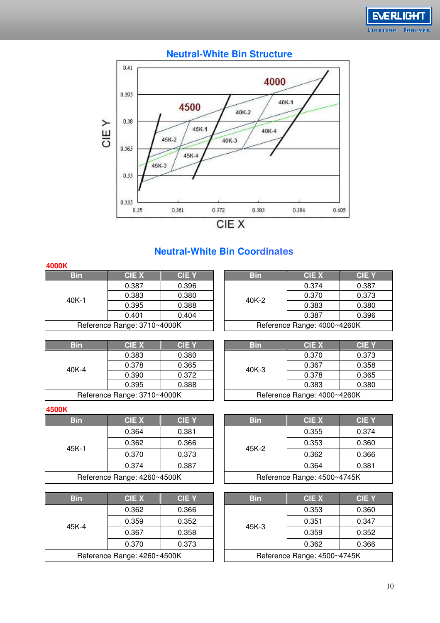



#### **Neutral-White Bin Structure**

### **Neutral-White Bin Coordinates**

| 4000K      |                             |             |            |                             |            |
|------------|-----------------------------|-------------|------------|-----------------------------|------------|
| <b>Bin</b> | <b>CIE X</b>                | <b>CIEY</b> | <b>Bin</b> | <b>CIE X</b>                | C          |
|            | 0.387                       | 0.396       |            | 0.374                       | 0.         |
| $40K-1$    | 0.383                       | 0.380       | 40K-2      | 0.370                       | 0.         |
|            | 0.395                       | 0.388       |            | 0.383                       | $\Omega$ . |
|            | 0.401                       | 0.404       |            | 0.387                       | $\Omega$   |
|            | Reference Range: 3710~4000K |             |            | Reference Range: 4000~4260K |            |
|            |                             |             |            |                             |            |

| <b>Bin</b>              | <b>CIE X</b>                | <b>CIEY</b> |       | <b>Bin</b> | <b>CIE X</b>                | <b>CIE Y</b> |
|-------------------------|-----------------------------|-------------|-------|------------|-----------------------------|--------------|
|                         | 0.387                       | 0.396       |       |            | 0.374                       | 0.387        |
| 0.380<br>0.383<br>40K-1 | 40K-2                       |             | 0.370 | 0.373      |                             |              |
|                         | 0.395<br>0.388              |             |       |            | 0.383                       | 0.380        |
|                         | 0.401                       | 0.404       |       |            | 0.387                       | 0.396        |
|                         | Reference Range: 3710~4000K |             |       |            | Reference Range: 4000~4260K |              |

| <b>Bin</b> | <b>CIE X</b>                | <b>CIEY</b> |       | <b>Bin</b> | <b>CIE X</b>                | $\mathbf C$ |
|------------|-----------------------------|-------------|-------|------------|-----------------------------|-------------|
|            | 0.380<br>0.383              |             | 0.370 |            |                             |             |
| $40K-4$    | 0.378                       | 0.365       | 0.372 | $40K-3$    | 0.367                       |             |
|            | 0.390                       |             |       |            | 0.378                       | 0.          |
|            | 0.395                       | 0.388       |       |            | 0.383                       | $\Omega$    |
|            | Reference Range: 3710~4000K |             |       |            | Reference Range: 4000~4260K |             |

#### **4500K**

| <b>Bin</b> | <b>CIEX</b>                 | <b>CIE Y</b> |       | <b>Bin</b> | <b>CIE X</b>                | C  |
|------------|-----------------------------|--------------|-------|------------|-----------------------------|----|
|            | 0.364                       | 0.381        | 45K-2 |            | 0.355                       | 0. |
| $45K-1$    | 0.362                       | 0.366        |       | 0.353      | 0.                          |    |
|            | 0.370                       | 0.373        |       |            | 0.362                       | 0. |
|            | 0.374                       | 0.387        |       |            | 0.364                       | 0. |
|            | Reference Range: 4260~4500K |              |       |            | Reference Range: 4500~4745K |    |

| Bin                         | <b>CIE X</b> | <b>CIEY</b> |  |  |  |  |
|-----------------------------|--------------|-------------|--|--|--|--|
|                             | 0.362        | 0.366       |  |  |  |  |
| 45K-4                       | 0.359        | 0.352       |  |  |  |  |
|                             | 0.367        | 0.358       |  |  |  |  |
|                             | 0.370        | 0.373       |  |  |  |  |
| Reference Range: 4260~4500K |              |             |  |  |  |  |

| <b>Bin</b>                  | <b>CIE X</b>   | <b>CIEY</b> | <b>Bin</b>                  | <b>CIE X</b> | <b>CIE Y</b> |
|-----------------------------|----------------|-------------|-----------------------------|--------------|--------------|
|                             | 0.383          | 0.380       |                             | 0.370        | 0.373        |
| 0K-4                        | 0.378<br>0.365 |             | $40K-3$                     | 0.367        | 0.358        |
|                             | 0.390          | 0.372       |                             | 0.378        | 0.365        |
|                             | 0.395          | 0.388       |                             | 0.383        | 0.380        |
| Reference Range: 3710~4000K |                |             | Reference Range: 4000~4260K |              |              |

| <b>Bin</b>                  | <b>CIE X</b>   | <b>CIEY</b> | <b>Bin</b>                  | <b>CIE X</b> | <b>CIEY</b> |
|-----------------------------|----------------|-------------|-----------------------------|--------------|-------------|
|                             | 0.364          | 0.381       |                             | 0.355        | 0.374       |
| 5K-1                        | 0.362<br>0.366 | 45K-2       | 0.353                       | 0.360        |             |
|                             | 0.370          | 0.373       |                             | 0.362        | 0.366       |
|                             | 0.374          | 0.387       |                             | 0.364        | 0.381       |
| Reference Range: 4260~4500K |                |             | Reference Range: 4500~4745K |              |             |

| <b>Bin</b> | <b>CIE X</b>                | <b>CIEY</b> | <b>Bin</b> | <b>CIE X</b>                | <b>CIE Y</b> |
|------------|-----------------------------|-------------|------------|-----------------------------|--------------|
|            | 0.362                       | 0.366       |            | 0.353                       | 0.360        |
| 5K-4       | 0.359<br>0.352              | $45K-3$     | 0.351      | 0.347                       |              |
|            | 0.367                       | 0.358       |            | 0.359                       | 0.352        |
|            | 0.370                       | 0.373       |            | 0.362                       | 0.366        |
|            | Reference Range: 4260~4500K |             |            | Reference Range: 4500~4745K |              |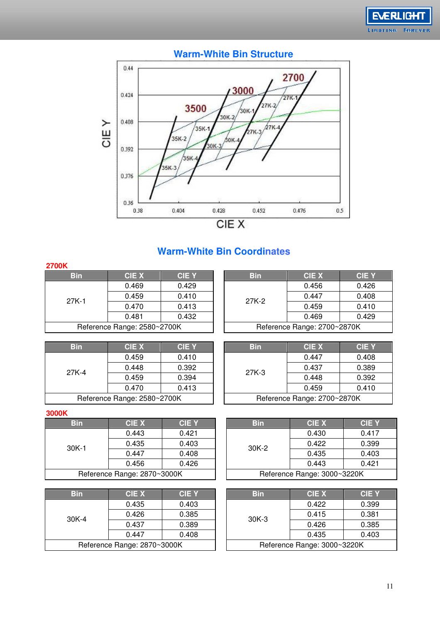



### **Warm-White Bin Coordinates**

| <b>2700K</b> |                             |              |       |            |                             |            |
|--------------|-----------------------------|--------------|-------|------------|-----------------------------|------------|
| <b>Bin</b>   | <b>CIEX</b>                 | <b>CIE Y</b> |       | <b>Bin</b> | <b>CIE X</b>                | C          |
|              | 0.429<br>0.469              |              | 0.456 | 0.         |                             |            |
| $27K-1$      | 0.459                       | 0.410        |       | 27K-2      | 0.447                       | 0.         |
|              | 0.470                       | 0.413        |       | 0.459      |                             | $\Omega$ . |
|              | 0.481                       | 0.432        |       |            | 0.469                       | $\Omega$ . |
|              | Reference Range: 2580~2700K |              |       |            | Reference Range: 2700~2870K |            |
|              |                             |              |       |            |                             |            |

| <b>Bin</b> | <b>CIE X</b>                | <b>CIE Y</b> | <b>Bin</b> | <b>CIE X</b>                | <b>CIE Y</b> |
|------------|-----------------------------|--------------|------------|-----------------------------|--------------|
|            | 0.469                       | 0.429        |            | 0.456                       | 0.426        |
| 7K-1       | 0.410<br>0.459              | 27K-2        | 0.447      | 0.408                       |              |
|            | 0.470                       | 0.413        |            | 0.459                       | 0.410        |
|            | 0.481                       | 0.432        |            | 0.469                       | 0.429        |
|            | Reference Range: 2580~2700K |              |            | Reference Range: 2700~2870K |              |

| <b>Bin</b> | <b>CIE X</b>                | <b>CIEY</b> | <b>Bin</b> | <b>CIE X</b>                | C        |
|------------|-----------------------------|-------------|------------|-----------------------------|----------|
|            | 0.459                       | 0.410       |            | 0.447                       | 0.       |
| 27K-4      | 0.448                       | 0.392       | $27K-3$    | 0.437                       | $\Omega$ |
|            | 0.459                       | 0.394       |            | 0.448                       | 0.       |
|            | 0.470                       | 0.413       |            | 0.459                       | 0.       |
|            | Reference Range: 2580~2700K |             |            | Reference Range: 2700~2870K |          |

| <b>Bin</b>             | CIE X                       | <b>CIE Y</b> | <b>Bin</b> | <b>CIE X</b>                | <b>CIE Y</b> |
|------------------------|-----------------------------|--------------|------------|-----------------------------|--------------|
| 0.459<br>0.448<br>7K-4 |                             | 0.410        |            | 0.447                       | 0.408        |
|                        | 0.392                       | $27K-3$      | 0.437      | 0.389                       |              |
|                        | 0.459                       | 0.394        |            | 0.448                       | 0.392        |
|                        | 0.470                       | 0.413        |            | 0.459                       | 0.410        |
|                        | Reference Range: 2580~2700K |              |            | Reference Range: 2700~2870K |              |

#### **3000K**

| <b>Bin</b>                  | <b>CIEX</b>    | <b>CIE Y</b> |   | <b>Bin</b> | <b>CIE X</b>                | C |
|-----------------------------|----------------|--------------|---|------------|-----------------------------|---|
|                             | 0.421<br>0.443 | 0.430        | 0 |            |                             |   |
| $30K-1$                     | 0.435          | 0.403        |   | $30K-2$    | 0.422                       | 0 |
|                             | 0.447          | 0.408        |   |            | 0.435                       | 0 |
|                             | 0.456          | 0.426        |   |            | 0.443                       | 0 |
| Reference Range: 2870~3000K |                |              |   |            | Reference Range: 3000~3220K |   |

| <b>Bin</b>                  | <b>CIE X</b> | <b>CIE Y</b> |  | <b>Bin</b> | <b>CIE X</b>                | <b>CIEY</b> |
|-----------------------------|--------------|--------------|--|------------|-----------------------------|-------------|
|                             | 0.435        | 0.403        |  | $30K-3$    | 0.422                       | 0.399       |
| $30K-4$                     | 0.426        | 0.385        |  |            | 0.415                       | 0.381       |
|                             | 0.437        | 0.389        |  |            | 0.426                       | 0.385       |
|                             | 0.447        | 0.408        |  |            | 0.435                       | 0.403       |
| Reference Range: 2870~3000K |              |              |  |            | Reference Range: 3000~3220K |             |

| <b>Bin</b>                  | CIE X | <b>CIE Y</b> | <b>Bin</b> | <b>CIE X</b>                | <b>CIEY</b> |
|-----------------------------|-------|--------------|------------|-----------------------------|-------------|
|                             | 0.443 | 0.421        |            | 0.430                       | 0.417       |
| 0K-1                        | 0.435 | 0.403        | $30K-2$    | 0.422                       | 0.399       |
| 0.447<br>0.456              | 0.408 |              | 0.435      | 0.403                       |             |
|                             |       | 0.426        |            | 0.443                       | 0.421       |
| Reference Range: 2870~3000K |       |              |            | Reference Range: 3000~3220K |             |

| <b>CIE X</b>    | <b>CIEY</b> |  | <b>Bin</b>                  | <b>CIE X</b> | <b>CIE Y</b> |
|-----------------|-------------|--|-----------------------------|--------------|--------------|
| 0.435           | 0.403       |  |                             | 0.422        | 0.399        |
| 0.426           | 0.385       |  | $30K-3$                     | 0.415        | 0.381        |
| 0.437           | 0.389       |  |                             | 0.426        | 0.385        |
| 0.447           | 0.408       |  |                             | 0.435        | 0.403        |
| nge: 2870~3000K |             |  | Reference Range: 3000~3220K |              |              |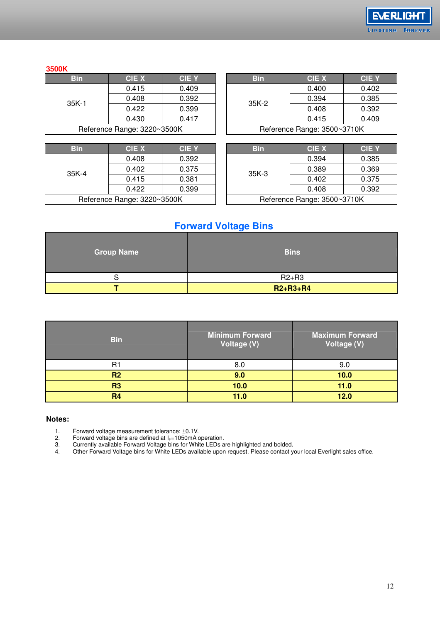

#### **3500K**

| Bin                         | <b>CIE X</b> | <b>CIEY</b> |  |  |
|-----------------------------|--------------|-------------|--|--|
| $35K-1$                     | 0.415        | 0.409       |  |  |
|                             | 0.408        | 0.392       |  |  |
|                             | 0.422        | 0.399       |  |  |
|                             | 0.430        | 0.417       |  |  |
| Reference Range: 3220~3500K |              |             |  |  |
|                             |              |             |  |  |

| <b>Bin</b>                  | <b>CIE X</b> | <b>CIE Y</b> |  | <b>Bin</b> | <b>CIE X</b>                | C |
|-----------------------------|--------------|--------------|--|------------|-----------------------------|---|
|                             | 0.408        | 0.392        |  |            | 0.394                       | 0 |
| $35K-4$                     | 0.402        | 0.375        |  | $35K-3$    | 0.389                       | 0 |
|                             | 0.415        | 0.381        |  |            | 0.402                       | 0 |
|                             | 0.422        | 0.399        |  |            | 0.408                       | 0 |
| Reference Range: 3220~3500K |              |              |  |            | Reference Range: 3500~3710K |   |

| <b>Bin</b>                  | CIE X | <b>CIE Y</b> |         | <b>Bin</b> | <b>CIE X</b>                | <b>CIE Y</b> |
|-----------------------------|-------|--------------|---------|------------|-----------------------------|--------------|
|                             | 0.415 | 0.409        |         |            | 0.400                       | 0.402        |
| 35K-1                       | 0.408 | 0.392        | $35K-2$ | 0.394      | 0.385                       |              |
| 0.422<br>0.430              | 0.399 |              |         | 0.408      | 0.392                       |              |
|                             |       | 0.417        |         |            | 0.415                       | 0.409        |
| Reference Range: 3220~3500K |       |              |         |            | Reference Range: 3500~3710K |              |

| <b>Bin</b>                  | CIE X | <b>CIEY</b> | <b>Bin</b> | CIE X                       | <b>CIE Y</b> |
|-----------------------------|-------|-------------|------------|-----------------------------|--------------|
|                             | 0.408 | 0.392       |            | 0.394                       | 0.385        |
| 35K-4                       | 0.402 | 0.375       | $35K-3$    | 0.389                       | 0.369        |
| 0.415                       | 0.381 |             | 0.402      | 0.375                       |              |
|                             | 0.422 | 0.399       |            | 0.408                       | 0.392        |
| Reference Range: 3220~3500K |       |             |            | Reference Range: 3500~3710K |              |

#### **Forward Voltage Bins**

| <b>Group Name</b> | <b>Bins</b>    |
|-------------------|----------------|
| ີ                 | $R2+R3$        |
|                   | $R2 + R3 + R4$ |

| <b>Bin</b>     | <b>Minimum Forward</b><br>Voltage (V) | <b>Maximum Forward</b><br>Voltage (V) |
|----------------|---------------------------------------|---------------------------------------|
| B.             | 8 <sub>0</sub>                        | 9.0                                   |
| R <sub>2</sub> | 9.0                                   | 10.0                                  |
| R <sub>3</sub> | 10.0                                  | 11.0                                  |
| R <sub>4</sub> | 11.0                                  | 12.0                                  |

#### **Notes:**

1. Forward voltage measurement tolerance: ±0.1V.

2. Forward voltage bins are defined at  $I_F=1050$ mA operation.

3. Currently available Forward Voltage bins for White LEDs are highlighted and bolded.

4. Other Forward Voltage bins for White LEDs available upon request. Please contact your local Everlight sales office.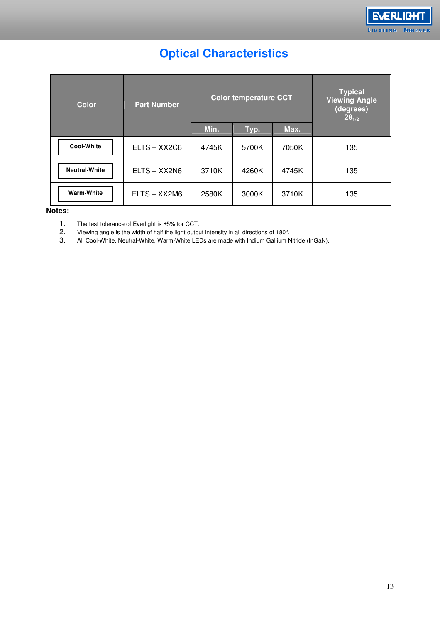

# **Optical Characteristics**

| <b>Color</b>         | <b>Part Number</b> | <b>Color temperature CCT</b> |       |       | <b>Typical</b><br><b>Viewing Angle</b><br>(degrees)<br>$2\theta_{1/2}$ |
|----------------------|--------------------|------------------------------|-------|-------|------------------------------------------------------------------------|
|                      |                    | Min.                         | Typ.  | Max.  |                                                                        |
| <b>Cool-White</b>    | ELTS-XX2C6         | 4745K                        | 5700K | 7050K | 135                                                                    |
| <b>Neutral-White</b> | $ELTS - XX2N6$     | 3710K                        | 4260K | 4745K | 135                                                                    |
| <b>Warm-White</b>    | ELTS - XX2M6       | 2580K                        | 3000K | 3710K | 135                                                                    |

#### **Notes:**

1. The test tolerance of Everlight is ±5% for CCT.<br>2. Viewing angle is the width of half the light output

2. Viewing angle is the width of half the light output intensity in all directions of 180°.<br>3. All Cool-White, Neutral-White, Warm-White LEDs are made with Indium Gallium N

All Cool-White, Neutral-White, Warm-White LEDs are made with Indium Gallium Nitride (InGaN).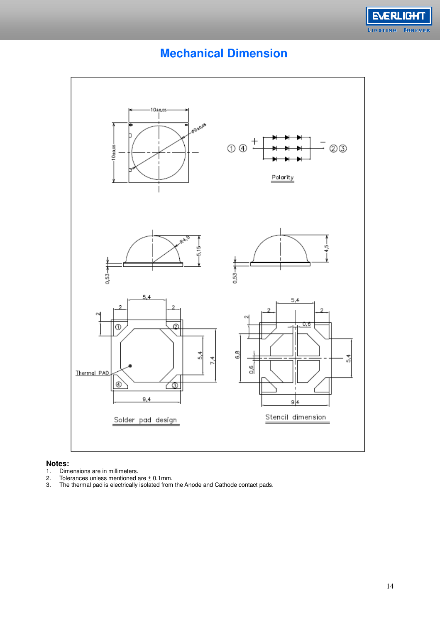

# **Mechanical Dimension**



## **Notes:**

- 
- 2. Tolerances unless mentioned are ± 0.1mm.
- 1. Dimensions are in millimeters.<br>2. Tolerances unless mentioned a<br>3. The thermal pad is electrically 3. The thermal pad is electrically isolated from the Anode and Cathode contact pads.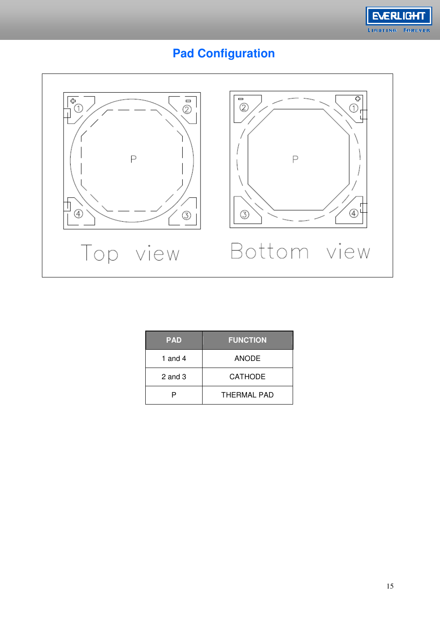

# **Pad Configuration**



| <b>PAD</b>  | <b>FUNCTION</b> |
|-------------|-----------------|
| 1 and 4     | <b>ANODE</b>    |
| $2$ and $3$ | <b>CATHODE</b>  |
|             | THERMAL PAD     |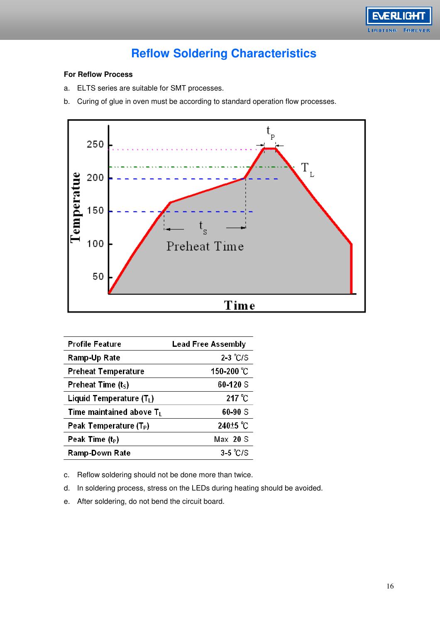

## **Reflow Soldering Characteristics**

#### **For Reflow Process**

- a. ELTS series are suitable for SMT processes.
- b. Curing of glue in oven must be according to standard operation flow processes.



| Profile Feature                    | <b>Lead Free Assembly</b> |
|------------------------------------|---------------------------|
| Ramp-Up Rate                       | $2-3$ °C/S                |
| Preheat Temperature                | 150-200 °C                |
| Preheat Time $(tS)$                | 60-120 S                  |
| Liquid Temperature $(T_L)$         | $217^{\circ}$ C           |
| Time maintained above $T_L$        | 60-90 S                   |
| Peak Temperature (T <sub>P</sub> ) | 240 <sup>+5</sup> °C      |
| Peak Time $(t_P)$                  | Max 20 S                  |
| Ramp-Down Rate                     | $3-5$ °C/S                |

c. Reflow soldering should not be done more than twice.

d. In soldering process, stress on the LEDs during heating should be avoided.

e. After soldering, do not bend the circuit board.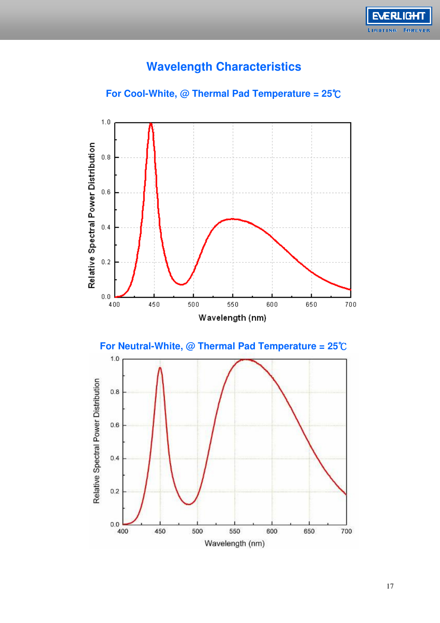

# **Wavelength Characteristics**



#### **For Cool-White, @ Thermal Pad Temperature = 25**℃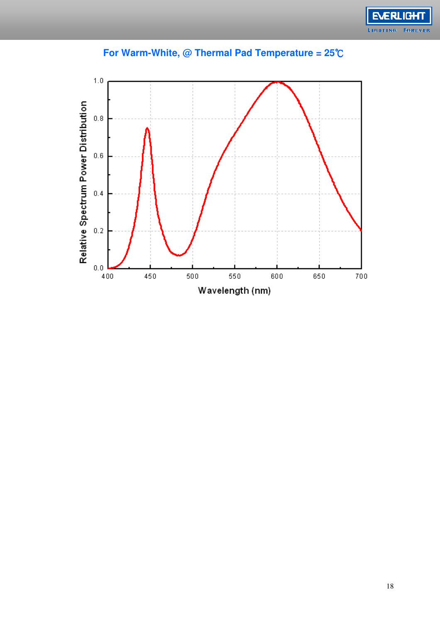



### **For Warm-White, @ Thermal Pad Temperature = 25**℃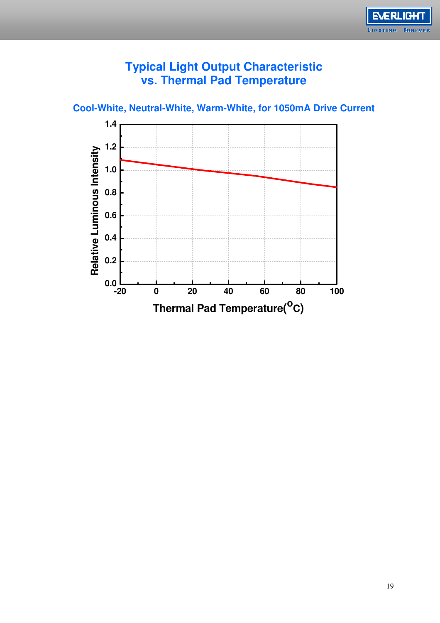

### **Typical Light Output Characteristic vs. Thermal Pad Temperature**

**Cool-White, Neutral-White, Warm-White, for 1050mA Drive Current** 

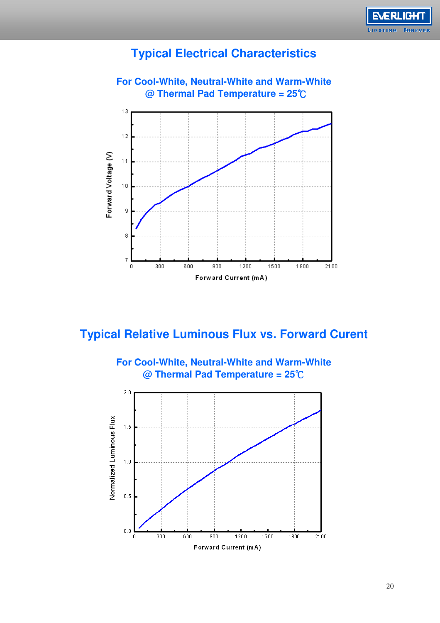

### **Typical Electrical Characteristics**



# **Typical Relative Luminous Flux vs. Forward Curent**

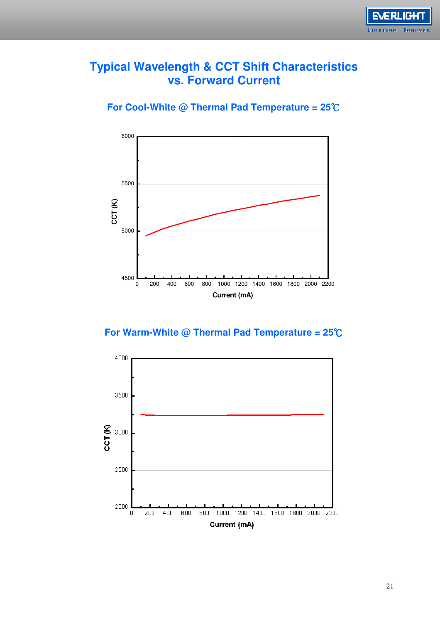

### **Typical Wavelength & CCT Shift Characteristics vs. Forward Current**

**For Cool-White @ Thermal Pad Temperature = 25**℃



### **For Warm-White @ Thermal Pad Temperature = 25**℃

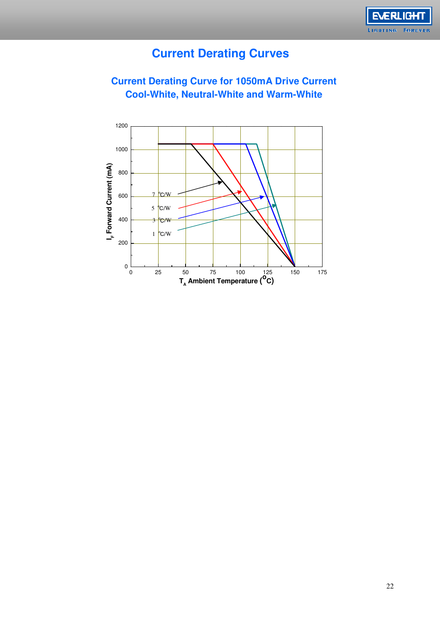

## **Current Derating Curves**

**Current Derating Curve for 1050mA Drive Current Cool-White, Neutral-White and Warm-White**

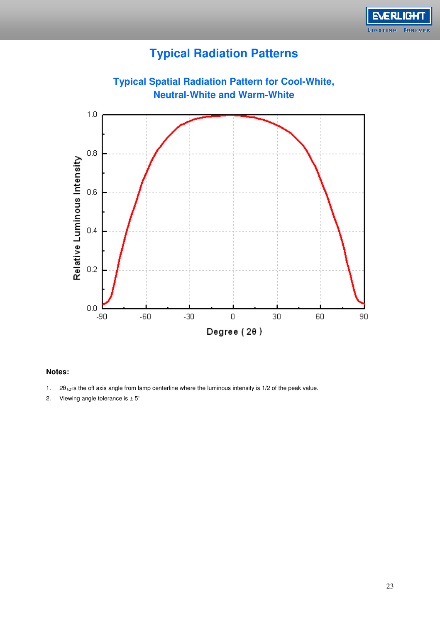

# **Typical Radiation Patterns**



#### **Notes:**

- 1.  $2\theta_{1/2}$  is the off axis angle from lamp centerline where the luminous intensity is 1/2 of the peak value.
- 2. Viewing angle tolerance is ± 5∘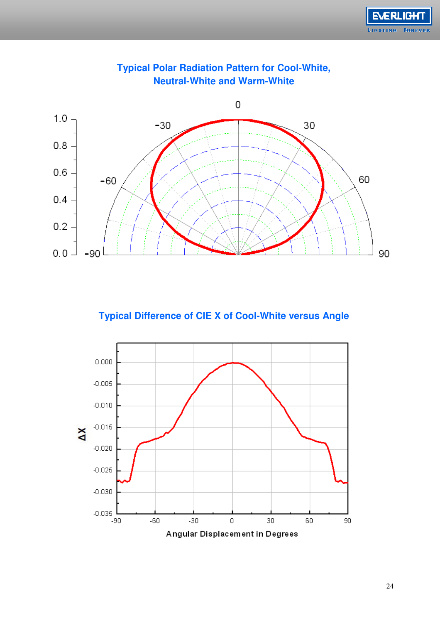



#### **Typical Polar Radiation Pattern for Cool-White, Neutral-White and Warm-White**

### **Typical Difference of CIE X of Cool-White versus Angle**

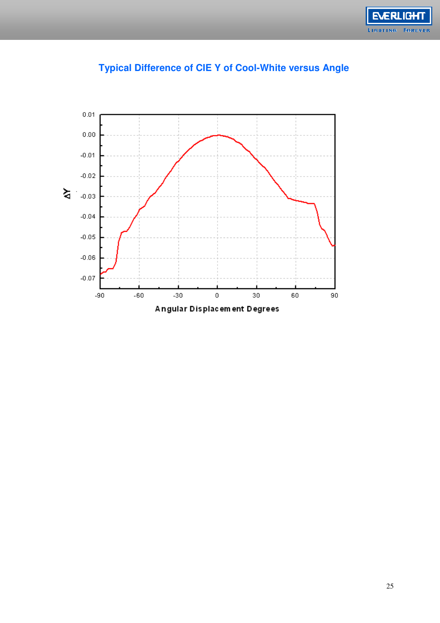



### **Typical Difference of CIE Y of Cool-White versus Angle**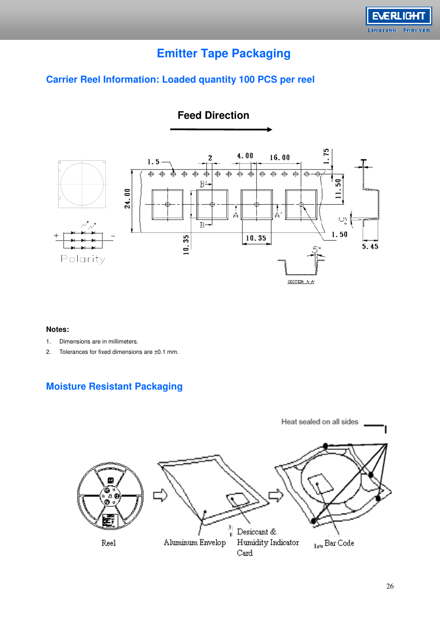

# **Emitter Tape Packaging**

### **Carrier Reel Information: Loaded quantity 100 PCS per reel**



#### **Notes:**

- 1. Dimensions are in millimeters.
- 2. Tolerances for fixed dimensions are ±0.1 mm.

### **Moisture Resistant Packaging**

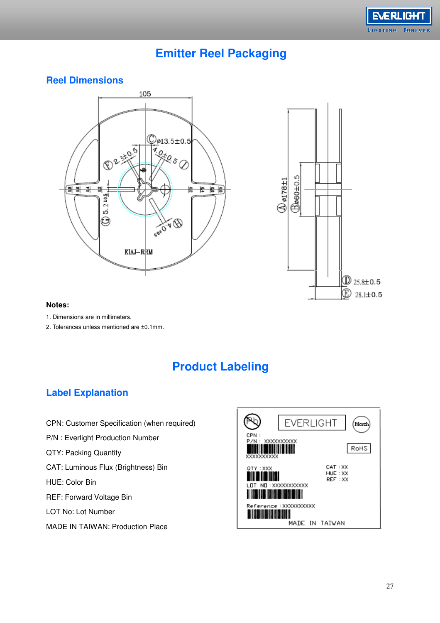

### **Emitter Reel Packaging**

#### **Reel Dimensions**





#### **Notes:**

- 1. Dimensions are in millimeters.
- 2. Tolerances unless mentioned are ±0.1mm.

# **Product Labeling**

#### **Label Explanation**

- CPN: Customer Specification (when required)
- P/N : Everlight Production Number
- QTY: Packing Quantity
- CAT: Luminous Flux (Brightness) Bin
- HUE: Color Bin
- REF: Forward Voltage Bin
- LOT No: Lot Number
- MADE IN TAIWAN: Production Place